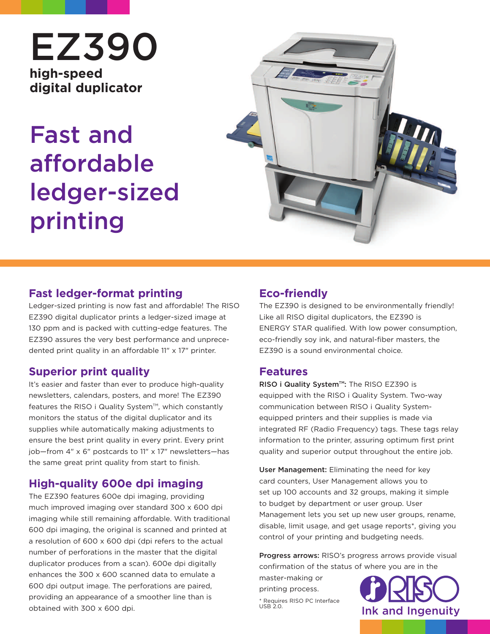# **EZ390 high-speed digital duplicator**

# **Fast and affordable ledger-sized printing**



#### **Fast ledger-format printing**

Ledger-sized printing is now fast and affordable! The RISO EZ390 digital duplicator prints a ledger-sized image at 130 ppm and is packed with cutting-edge features. The EZ390 assures the very best performance and unprecedented print quality in an affordable 11" x 17" printer.

#### **Superior print quality**

It's easier and faster than ever to produce high-quality newsletters, calendars, posters, and more! The EZ390 features the RISO i Quality System<sup>TM</sup>, which constantly monitors the status of the digital duplicator and its supplies while automatically making adjustments to ensure the best print quality in every print. Every print job—from 4" x 6" postcards to 11" x 17" newsletters—has the same great print quality from start to finish.

### **High-quality 600e dpi imaging**

The EZ390 features 600e dpi imaging, providing much improved imaging over standard 300 x 600 dpi imaging while still remaining affordable. With traditional 600 dpi imaging, the original is scanned and printed at a resolution of 600 x 600 dpi (dpi refers to the actual number of perforations in the master that the digital duplicator produces from a scan). 600e dpi digitally enhances the 300 x 600 scanned data to emulate a 600 dpi output image. The perforations are paired, providing an appearance of a smoother line than is obtained with 300 x 600 dpi.

## **Eco-friendly**

The EZ390 is designed to be environmentally friendly! Like all RISO digital duplicators, the EZ390 is ENERGY STAR qualified. With low power consumption, eco-friendly soy ink, and natural-fiber masters, the EZ390 is a sound environmental choice.

#### **Features**

**RISO i Quality System™: The RISO EZ390 is** equipped with the RISO i Quality System. Two-way communication between RISO i Quality Systemequipped printers and their supplies is made via integrated RF (Radio Frequency) tags. These tags relay information to the printer, assuring optimum first print quality and superior output throughout the entire job.

**User Management:** Eliminating the need for key card counters, User Management allows you to set up 100 accounts and 32 groups, making it simple to budget by department or user group. User Management lets you set up new user groups, rename, disable, limit usage, and get usage reports\*, giving you control of your printing and budgeting needs.

**Progress arrows:** RISO's progress arrows provide visual confirmation of the status of where you are in the

master-making or printing process. \* Requires RISO PC Interface<br>USB 2.0.